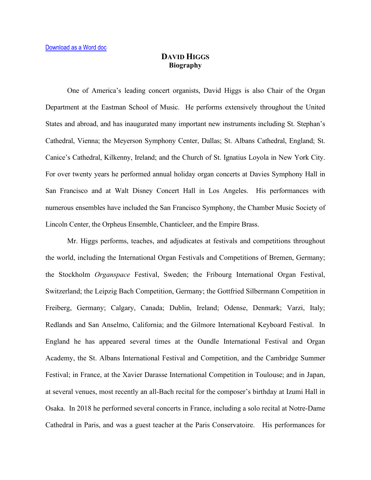## **DAVID HIGGS Biography**

One of America's leading concert organists, David Higgs is also Chair of the Organ Department at the Eastman School of Music. He performs extensively throughout the United States and abroad, and has inaugurated many important new instruments including St. Stephan's Cathedral, Vienna; the Meyerson Symphony Center, Dallas; St. Albans Cathedral, England; St. Canice's Cathedral, Kilkenny, Ireland; and the Church of St. Ignatius Loyola in New York City. For over twenty years he performed annual holiday organ concerts at Davies Symphony Hall in San Francisco and at Walt Disney Concert Hall in Los Angeles. His performances with numerous ensembles have included the San Francisco Symphony, the Chamber Music Society of Lincoln Center, the Orpheus Ensemble, Chanticleer, and the Empire Brass.

Mr. Higgs performs, teaches, and adjudicates at festivals and competitions throughout the world, including the International Organ Festivals and Competitions of Bremen, Germany; the Stockholm *Organspace* Festival, Sweden; the Fribourg International Organ Festival, Switzerland; the Leipzig Bach Competition, Germany; the Gottfried Silbermann Competition in Freiberg, Germany; Calgary, Canada; Dublin, Ireland; Odense, Denmark; Varzi, Italy; Redlands and San Anselmo, California; and the Gilmore International Keyboard Festival. In England he has appeared several times at the Oundle International Festival and Organ Academy, the St. Albans International Festival and Competition, and the Cambridge Summer Festival; in France, at the Xavier Darasse International Competition in Toulouse; and in Japan, at several venues, most recently an all-Bach recital for the composer's birthday at Izumi Hall in Osaka. In 2018 he performed several concerts in France, including a solo recital at Notre-Dame Cathedral in Paris, and was a guest teacher at the Paris Conservatoire. His performances for